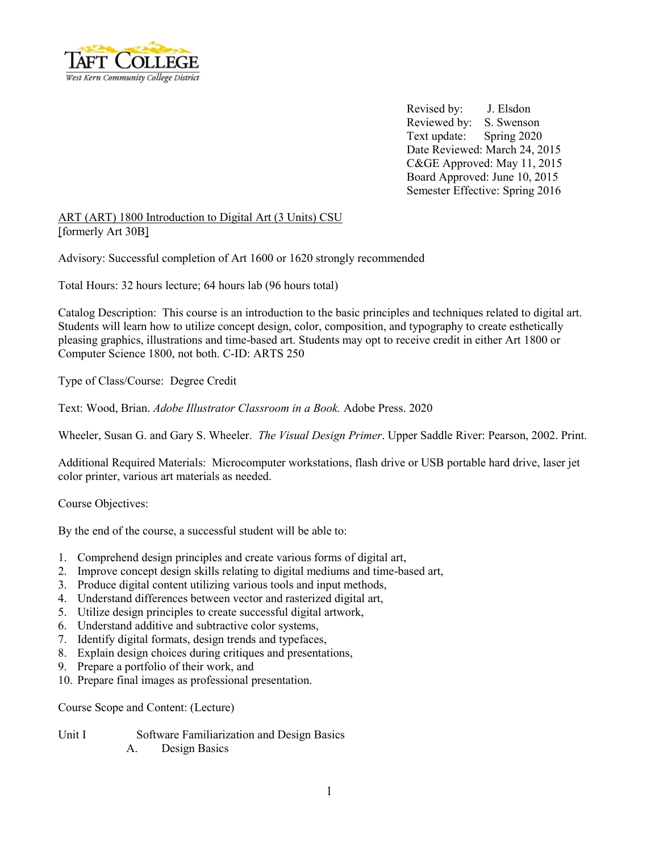

Revised by: J. Elsdon Reviewed by: S. Swenson Text update: Spring 2020 Date Reviewed: March 24, 2015 C&GE Approved: May 11, 2015 Board Approved: June 10, 2015 Semester Effective: Spring 2016

ART (ART) 1800 Introduction to Digital Art (3 Units) CSU [formerly Art 30B]

Advisory: Successful completion of Art 1600 or 1620 strongly recommended

Total Hours: 32 hours lecture; 64 hours lab (96 hours total)

Catalog Description: This course is an introduction to the basic principles and techniques related to digital art. Students will learn how to utilize concept design, color, composition, and typography to create esthetically pleasing graphics, illustrations and time-based art. Students may opt to receive credit in either Art 1800 or Computer Science 1800, not both. C-ID: ARTS 250

Type of Class/Course: Degree Credit

Text: Wood, Brian. *Adobe Illustrator Classroom in a Book.* Adobe Press. 2020

Wheeler, Susan G. and Gary S. Wheeler. *The Visual Design Primer*. Upper Saddle River: Pearson, 2002. Print.

Additional Required Materials: Microcomputer workstations, flash drive or USB portable hard drive, laser jet color printer, various art materials as needed.

Course Objectives:

By the end of the course, a successful student will be able to:

- 1. Comprehend design principles and create various forms of digital art,
- 2. Improve concept design skills relating to digital mediums and time-based art,
- 3. Produce digital content utilizing various tools and input methods,
- 4. Understand differences between vector and rasterized digital art,
- 5. Utilize design principles to create successful digital artwork,
- 6. Understand additive and subtractive color systems,
- 7. Identify digital formats, design trends and typefaces,
- 8. Explain design choices during critiques and presentations,
- 9. Prepare a portfolio of their work, and
- 10. Prepare final images as professional presentation.

Course Scope and Content: (Lecture)

Unit I Software Familiarization and Design Basics A. Design Basics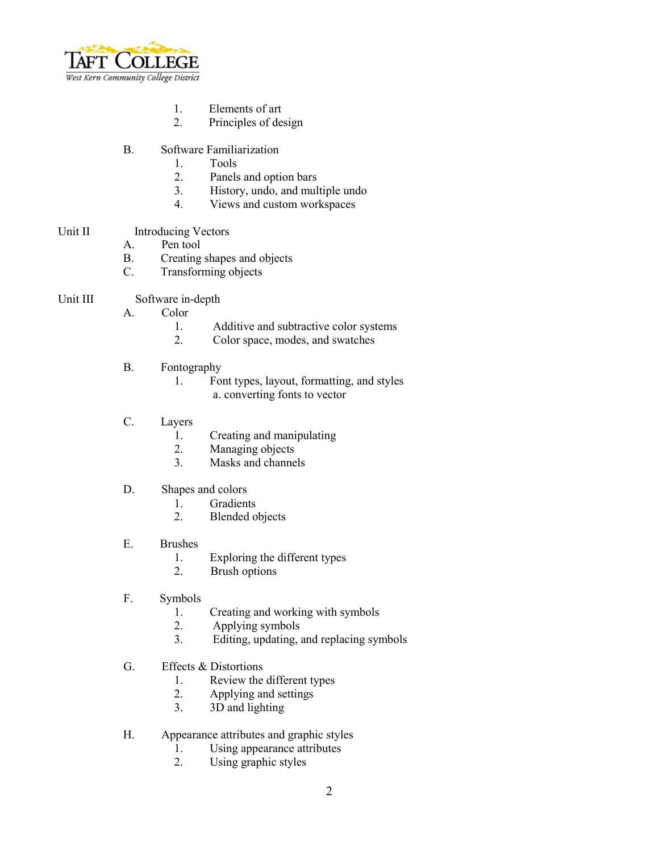

- 1. Elements of art<br>2. Principles of de
- Principles of design
- B. Software Familiarization
	- 1. Tools
	- 2. Panels and option bars
	- 3. History, undo, and multiple undo
	- 4. Views and custom workspaces
- Unit II Introducing Vectors
	- A. Pen tool
	- B. Creating shapes and objects
	- C. Transforming objects
- Unit III Software in-depth
	- A. Color
		- 1. Additive and subtractive color systems
		- 2. Color space, modes, and swatches
	- B. Fontography
		- 1. Font types, layout, formatting, and styles a. converting fonts to vector
	- C. Layers
		- 1. Creating and manipulating<br>2. Managing objects
		- 2. Managing objects<br>3. Masks and channe
		- Masks and channels
	- D. Shapes and colors
		- 1. Gradients<br>2. Blended of
		- **Blended** objects
	- E. Brushes
		- 1. Exploring the different types
		- 2. Brush options
	- F. Symbols
		- 1. Creating and working with symbols
		- 2. Applying symbols<br>3. Editing undating a
		- Editing, updating, and replacing symbols
	- G. Effects & Distortions
		- 1. Review the different types
		- 2. Applying and settings
		- 3. 3D and lighting
	- H. Appearance attributes and graphic styles
		- 1. Using appearance attributes
		- 2. Using graphic styles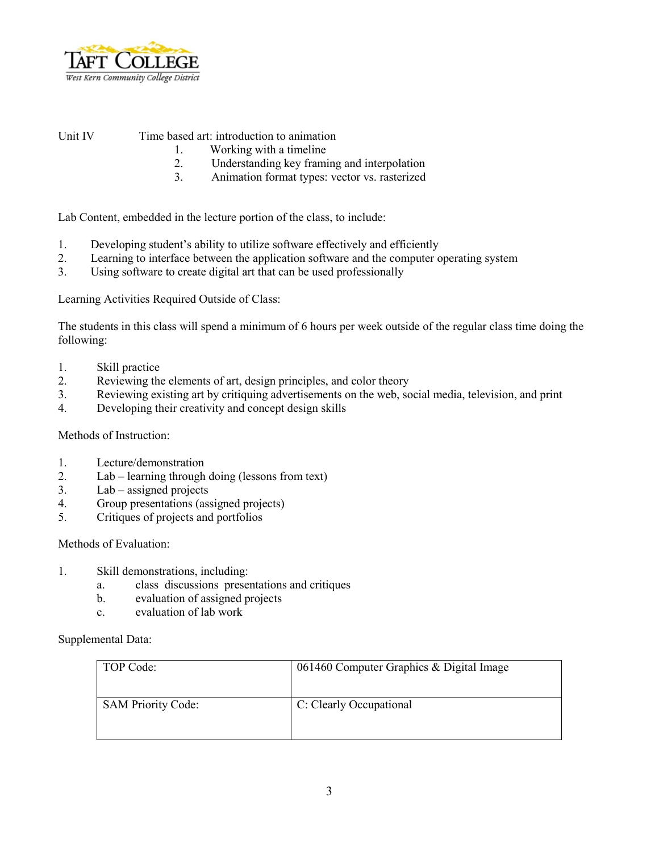

Unit IV Time based art: introduction to animation

- 1. Working with a timeline
- 2. Understanding key framing and interpolation
- 3. Animation format types: vector vs. rasterized

Lab Content, embedded in the lecture portion of the class, to include:

- 1. Developing student's ability to utilize software effectively and efficiently
- 2. Learning to interface between the application software and the computer operating system
- 3. Using software to create digital art that can be used professionally

Learning Activities Required Outside of Class:

The students in this class will spend a minimum of 6 hours per week outside of the regular class time doing the following:

- 1. Skill practice
- 2. Reviewing the elements of art, design principles, and color theory
- 3. Reviewing existing art by critiquing advertisements on the web, social media, television, and print
- 4. Developing their creativity and concept design skills

Methods of Instruction:

- 1. Lecture/demonstration
- 2. Lab learning through doing (lessons from text)
- 3. Lab assigned projects
- 4. Group presentations (assigned projects)
- 5. Critiques of projects and portfolios

Methods of Evaluation:

- 1. Skill demonstrations, including:
	- a. class discussions presentations and critiques
	- b. evaluation of assigned projects
	- c. evaluation of lab work

Supplemental Data:

| TOP Code:                 | 061460 Computer Graphics & Digital Image |
|---------------------------|------------------------------------------|
| <b>SAM Priority Code:</b> | C: Clearly Occupational                  |